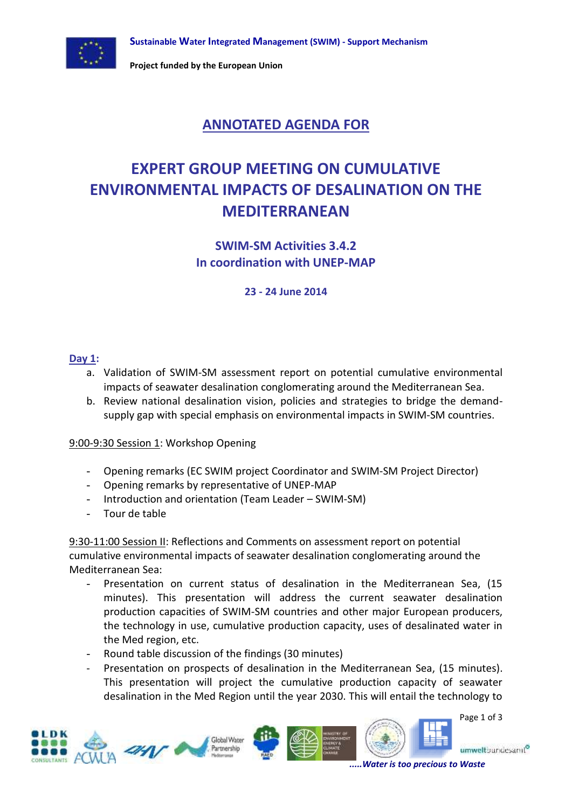

**Project funded by the European Union**

## **ANNOTATED AGENDA FOR**

# **EXPERT GROUP MEETING ON CUMULATIVE ENVIRONMENTAL IMPACTS OF DESALINATION ON THE MEDITERRANEAN**

**SWIM-SM Activities 3.4.2 In coordination with UNEP-MAP**

**23 - 24 June 2014**

#### **Day 1:**

- a. Validation of SWIM-SM assessment report on potential cumulative environmental impacts of seawater desalination conglomerating around the Mediterranean Sea.
- b. Review national desalination vision, policies and strategies to bridge the demandsupply gap with special emphasis on environmental impacts in SWIM-SM countries.

#### 9:00-9:30 Session 1: Workshop Opening

- Opening remarks (EC SWIM project Coordinator and SWIM-SM Project Director)
- Opening remarks by representative of UNEP-MAP
- Introduction and orientation (Team Leader SWIM-SM)
- Tour de table

9:30-11:00 Session II: Reflections and Comments on assessment report on potential cumulative environmental impacts of seawater desalination conglomerating around the Mediterranean Sea:

- Presentation on current status of desalination in the Mediterranean Sea, (15 minutes). This presentation will address the current seawater desalination production capacities of SWIM-SM countries and other major European producers, the technology in use, cumulative production capacity, uses of desalinated water in the Med region, etc.
- Round table discussion of the findings (30 minutes)
- Presentation on prospects of desalination in the Mediterranean Sea, (15 minutes). This presentation will project the cumulative production capacity of seawater desalination in the Med Region until the year 2030. This will entail the technology to

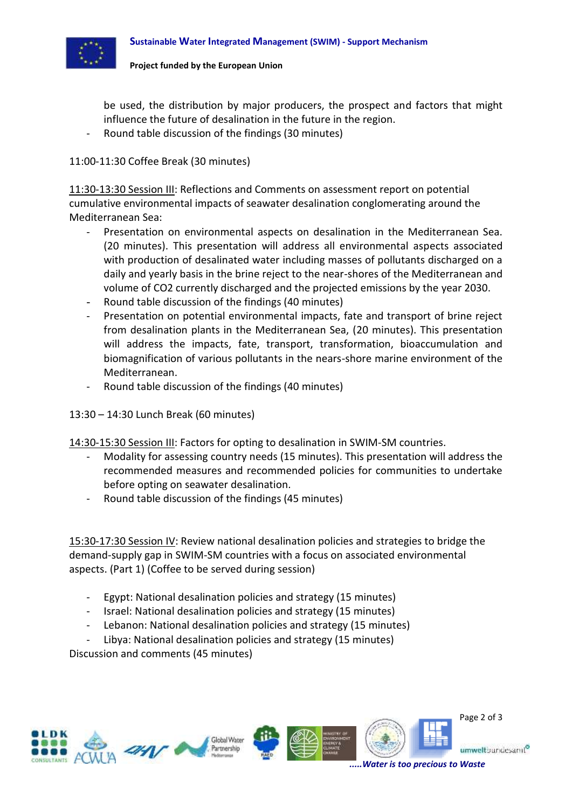

be used, the distribution by major producers, the prospect and factors that might influence the future of desalination in the future in the region.

Round table discussion of the findings (30 minutes)

#### 11:00-11:30 Coffee Break (30 minutes)

11:30-13:30 Session III: Reflections and Comments on assessment report on potential cumulative environmental impacts of seawater desalination conglomerating around the Mediterranean Sea:

- Presentation on environmental aspects on desalination in the Mediterranean Sea. (20 minutes). This presentation will address all environmental aspects associated with production of desalinated water including masses of pollutants discharged on a daily and yearly basis in the brine reject to the near-shores of the Mediterranean and volume of CO2 currently discharged and the projected emissions by the year 2030.
- Round table discussion of the findings (40 minutes)
- Presentation on potential environmental impacts, fate and transport of brine reject from desalination plants in the Mediterranean Sea, (20 minutes). This presentation will address the impacts, fate, transport, transformation, bioaccumulation and biomagnification of various pollutants in the nears-shore marine environment of the Mediterranean.
- Round table discussion of the findings (40 minutes)
- 13:30 14:30 Lunch Break (60 minutes)
- 14:30-15:30 Session III: Factors for opting to desalination in SWIM-SM countries.
	- Modality for assessing country needs (15 minutes). This presentation will address the recommended measures and recommended policies for communities to undertake before opting on seawater desalination.
	- Round table discussion of the findings (45 minutes)

15:30-17:30 Session IV: Review national desalination policies and strategies to bridge the demand-supply gap in SWIM-SM countries with a focus on associated environmental aspects. (Part 1) (Coffee to be served during session)

- Egypt: National desalination policies and strategy (15 minutes)
- Israel: National desalination policies and strategy (15 minutes)
- Lebanon: National desalination policies and strategy (15 minutes)
- Libya: National desalination policies and strategy (15 minutes)

Discussion and comments (45 minutes)